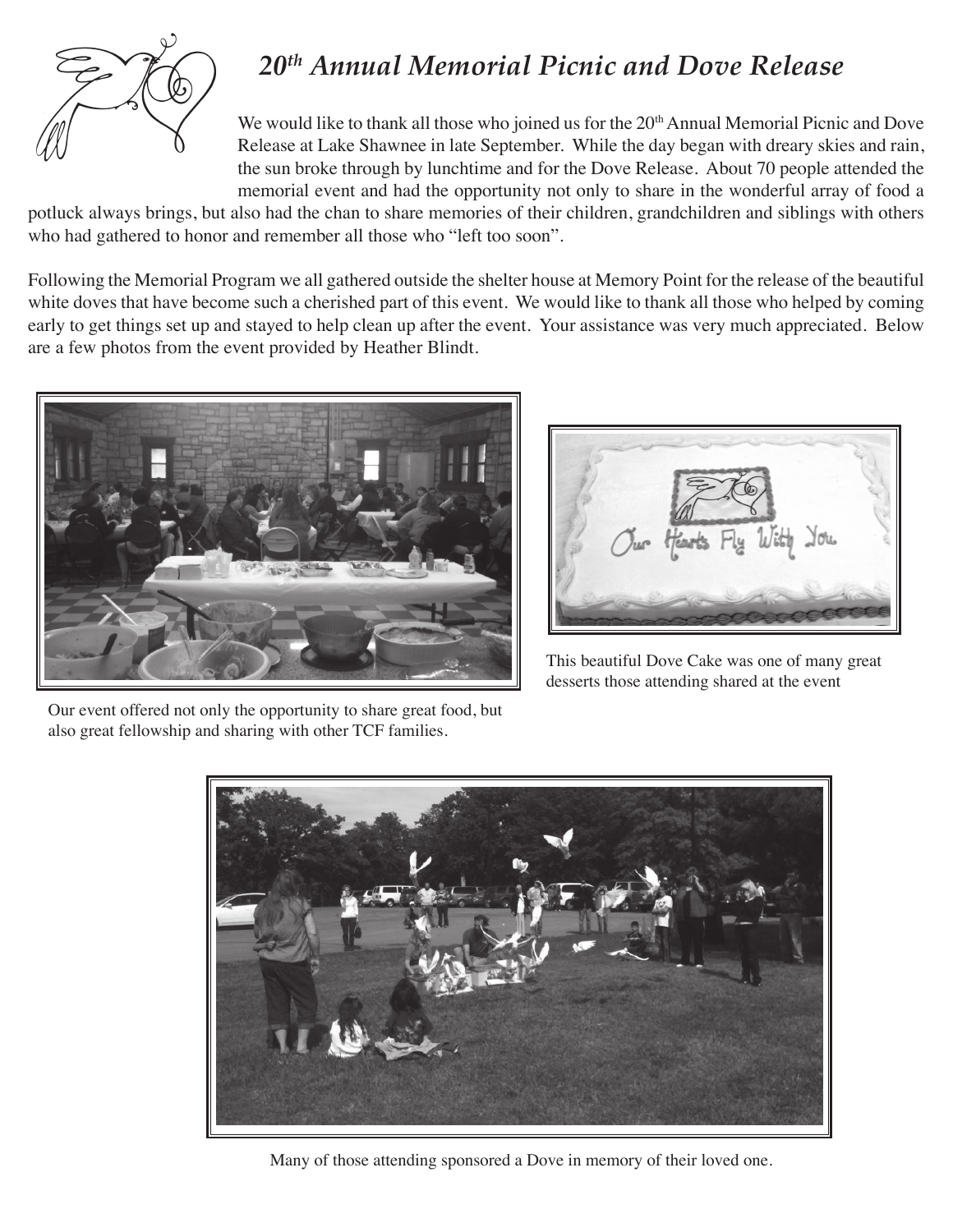

## *20th Annual Memorial Picnic and Dove Release*

We would like to thank all those who joined us for the 20<sup>th</sup> Annual Memorial Picnic and Dove Release at Lake Shawnee in late September. While the day began with dreary skies and rain, the sun broke through by lunchtime and for the Dove Release. About 70 people attended the memorial event and had the opportunity not only to share in the wonderful array of food a

potluck always brings, but also had the chan to share memories of their children, grandchildren and siblings with others who had gathered to honor and remember all those who "left too soon".

Following the Memorial Program we all gathered outside the shelter house at Memory Point for the release of the beautiful white doves that have become such a cherished part of this event. We would like to thank all those who helped by coming early to get things set up and stayed to help clean up after the event. Your assistance was very much appreciated. Below are a few photos from the event provided by Heather Blindt.





This beautiful Dove Cake was one of many great desserts those attending shared at the event



Many of those attending sponsored a Dove in memory of their loved one.

Our event offered not only the opportunity to share great food, but also great fellowship and sharing with other TCF families.